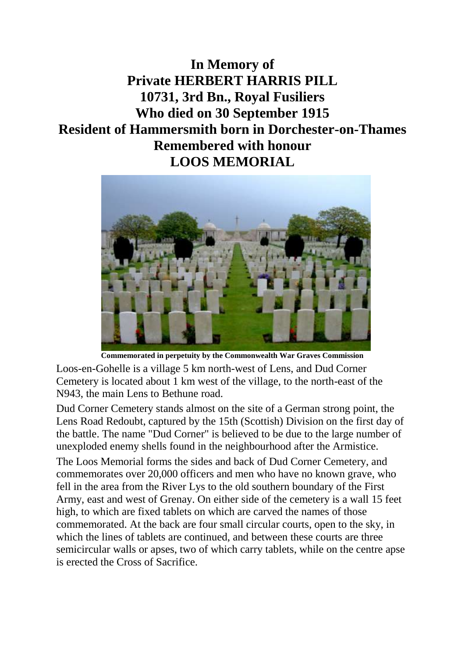**In Memory of Private HERBERT HARRIS PILL 10731, 3rd Bn., Royal Fusiliers Who died on 30 September 1915 Resident of Hammersmith born in Dorchester-on-Thames Remembered with honour LOOS MEMORIAL**



**Commemorated in perpetuity by the Commonwealth War Graves Commission**  Loos-en-Gohelle is a village 5 km north-west of Lens, and Dud Corner Cemetery is located about 1 km west of the village, to the north-east of the N943, the main Lens to Bethune road.

Dud Corner Cemetery stands almost on the site of a German strong point, the Lens Road Redoubt, captured by the 15th (Scottish) Division on the first day of the battle. The name "Dud Corner" is believed to be due to the large number of unexploded enemy shells found in the neighbourhood after the Armistice.

The Loos Memorial forms the sides and back of Dud Corner Cemetery, and commemorates over 20,000 officers and men who have no known grave, who fell in the area from the River Lys to the old southern boundary of the First Army, east and west of Grenay. On either side of the cemetery is a wall 15 feet high, to which are fixed tablets on which are carved the names of those commemorated. At the back are four small circular courts, open to the sky, in which the lines of tablets are continued, and between these courts are three semicircular walls or apses, two of which carry tablets, while on the centre apse is erected the Cross of Sacrifice.